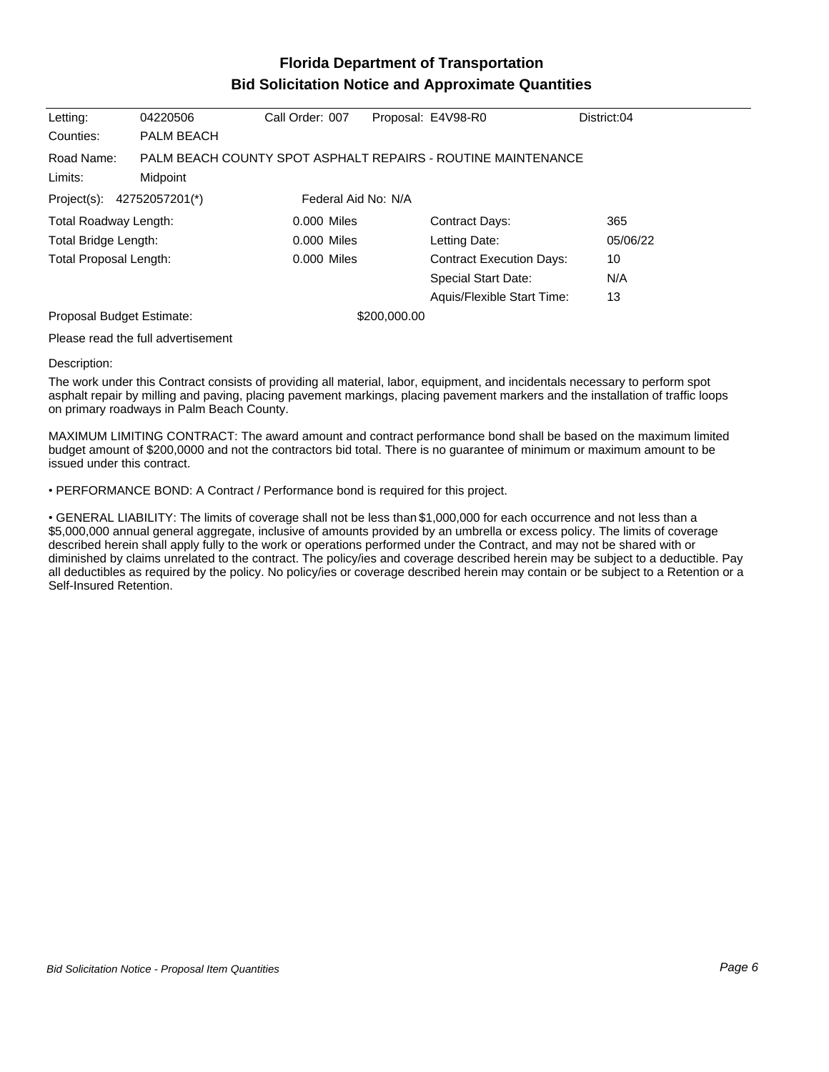## **Florida Department of Transportation Bid Solicitation Notice and Approximate Quantities**

| Letting:                                          | 04220506                                                                 | Call Order: 007 |  | Proposal: E4V98-R0              | District:04 |
|---------------------------------------------------|--------------------------------------------------------------------------|-----------------|--|---------------------------------|-------------|
| Counties:                                         | PALM BEACH                                                               |                 |  |                                 |             |
| Road Name:<br>Limits:                             | PALM BEACH COUNTY SPOT ASPHALT REPAIRS - ROUTINE MAINTENANCE<br>Midpoint |                 |  |                                 |             |
|                                                   |                                                                          |                 |  |                                 |             |
| Project(s): 42752057201(*)<br>Federal Aid No: N/A |                                                                          |                 |  |                                 |             |
| Total Roadway Length:                             |                                                                          | $0.000$ Miles   |  | <b>Contract Days:</b>           | 365         |
| Total Bridge Length:                              |                                                                          | 0.000 Miles     |  | Letting Date:                   | 05/06/22    |
| <b>Total Proposal Length:</b>                     |                                                                          | 0.000 Miles     |  | <b>Contract Execution Days:</b> | 10          |
|                                                   |                                                                          |                 |  | <b>Special Start Date:</b>      | N/A         |
|                                                   |                                                                          |                 |  | Aquis/Flexible Start Time:      | 13          |
| Proposal Budget Estimate:                         |                                                                          | \$200,000.00    |  |                                 |             |
|                                                   | .                                                                        |                 |  |                                 |             |

Please read the full advertisement

## Description:

The work under this Contract consists of providing all material, labor, equipment, and incidentals necessary to perform spot asphalt repair by milling and paving, placing pavement markings, placing pavement markers and the installation of traffic loops on primary roadways in Palm Beach County.

MAXIMUM LIMITING CONTRACT: The award amount and contract performance bond shall be based on the maximum limited budget amount of \$200,0000 and not the contractors bid total. There is no guarantee of minimum or maximum amount to be issued under this contract.

PERFORMANCE BOND: A Contract / Performance bond is required for this project.

GENERAL LIABILITY: The limits of coverage shall not be less than \$1,000,000 for each occurrence and not less than a \$5,000,000 annual general aggregate, inclusive of amounts provided by an umbrella or excess policy. The limits of coverage described herein shall apply fully to the work or operations performed under the Contract, and may not be shared with or diminished by claims unrelated to the contract. The policy/ies and coverage described herein may be subject to a deductible. Pay all deductibles as required by the policy. No policy/ies or coverage described herein may contain or be subject to a Retention or a Self-Insured Retention.